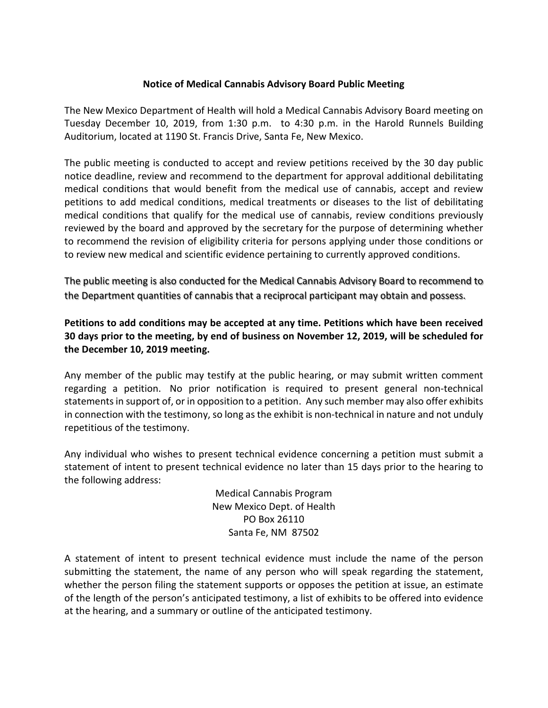## **Notice of Medical Cannabis Advisory Board Public Meeting**

The New Mexico Department of Health will hold a Medical Cannabis Advisory Board meeting on Tuesday December 10, 2019, from 1:30 p.m. to 4:30 p.m. in the Harold Runnels Building Auditorium, located at 1190 St. Francis Drive, Santa Fe, New Mexico.

The public meeting is conducted to accept and review petitions received by the 30 day public notice deadline, review and recommend to the department for approval additional debilitating medical conditions that would benefit from the medical use of cannabis, accept and review petitions to add medical conditions, medical treatments or diseases to the list of debilitating medical conditions that qualify for the medical use of cannabis, review conditions previously reviewed by the board and approved by the secretary for the purpose of determining whether to recommend the revision of eligibility criteria for persons applying under those conditions or to review new medical and scientific evidence pertaining to currently approved conditions.

The public meeting is also conducted for the Medical Cannabis Advisory Board to recommend to the Department quantities of cannabis that a reciprocal participant may obtain and possess.

## **Petitions to add conditions may be accepted at any time. Petitions which have been received 30 days prior to the meeting, by end of business on November 12, 2019, will be scheduled for the December 10, 2019 meeting.**

Any member of the public may testify at the public hearing, or may submit written comment regarding a petition. No prior notification is required to present general non-technical statements in support of, or in opposition to a petition. Any such member may also offer exhibits in connection with the testimony, so long as the exhibit is non-technical in nature and not unduly repetitious of the testimony.

Any individual who wishes to present technical evidence concerning a petition must submit a statement of intent to present technical evidence no later than 15 days prior to the hearing to the following address:

> Medical Cannabis Program New Mexico Dept. of Health PO Box 26110 Santa Fe, NM 87502

A statement of intent to present technical evidence must include the name of the person submitting the statement, the name of any person who will speak regarding the statement, whether the person filing the statement supports or opposes the petition at issue, an estimate of the length of the person's anticipated testimony, a list of exhibits to be offered into evidence at the hearing, and a summary or outline of the anticipated testimony.